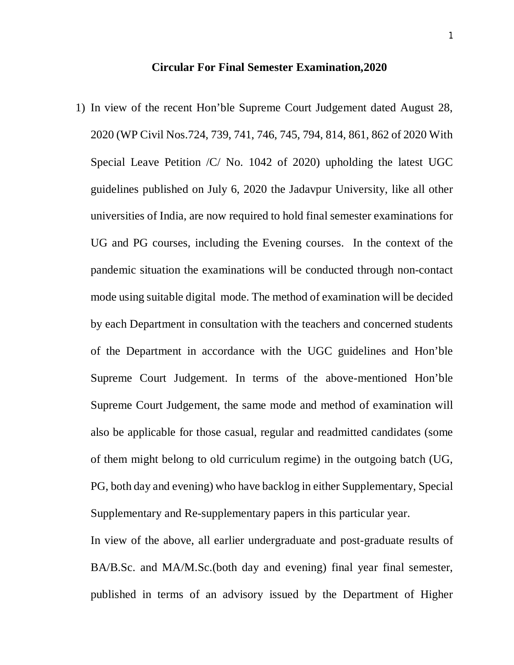**Circular For Final Semester Examination,2020**

1) In view of the recent Hon'ble Supreme Court Judgement dated August 28, 2020 (WP Civil Nos.724, 739, 741, 746, 745, 794, 814, 861, 862 of 2020 With Special Leave Petition /C/ No. 1042 of 2020) upholding the latest UGC guidelines published on July 6, 2020 the Jadavpur University, like all other universities of India, are now required to hold final semester examinations for UG and PG courses, including the Evening courses. In the context of the pandemic situation the examinations will be conducted through non-contact mode using suitable digital mode. The method of examination will be decided by each Department in consultation with the teachers and concerned students of the Department in accordance with the UGC guidelines and Hon'ble Supreme Court Judgement. In terms of the above-mentioned Hon'ble Supreme Court Judgement, the same mode and method of examination will also be applicable for those casual, regular and readmitted candidates (some of them might belong to old curriculum regime) in the outgoing batch (UG, PG, both day and evening) who have backlog in either Supplementary, Special Supplementary and Re-supplementary papers in this particular year.

In view of the above, all earlier undergraduate and post-graduate results of BA/B.Sc. and MA/M.Sc.(both day and evening) final year final semester, published in terms of an advisory issued by the Department of Higher